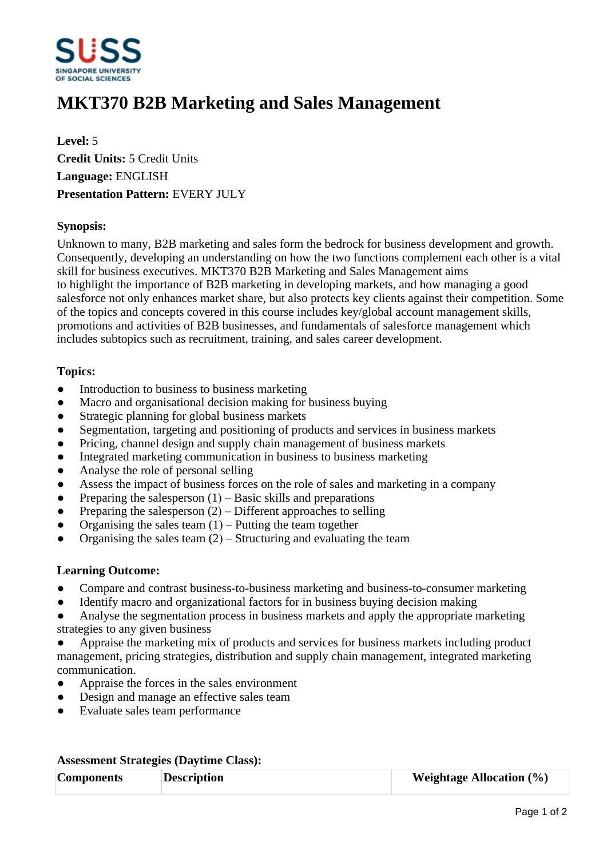

# **MKT370 B2B Marketing and Sales Management**

**Level:** 5 **Credit Units:** 5 Credit Units **Language:** ENGLISH **Presentation Pattern:** EVERY JULY

# **Synopsis:**

Unknown to many, B2B marketing and sales form the bedrock for business development and growth. Consequently, developing an understanding on how the two functions complement each other is a vital skill for business executives. MKT370 B2B Marketing and Sales Management aims to highlight the importance of B2B marketing in developing markets, and how managing a good salesforce not only enhances market share, but also protects key clients against their competition. Some of the topics and concepts covered in this course includes key/global account management skills, promotions and activities of B2B businesses, and fundamentals of salesforce management which includes subtopics such as recruitment, training, and sales career development.

# **Topics:**

- Introduction to business to business marketing
- Macro and organisational decision making for business buying
- Strategic planning for global business markets
- Segmentation, targeting and positioning of products and services in business markets
- Pricing, channel design and supply chain management of business markets
- Integrated marketing communication in business to business marketing
- ƔAnalyse the role of personal selling
- Assess the impact of business forces on the role of sales and marketing in a company
- Preparing the salesperson  $(1)$  Basic skills and preparations
- Preparing the salesperson  $(2)$  Different approaches to selling
- Organising the sales team  $(1)$  Putting the team together
- Organising the sales team  $(2)$  Structuring and evaluating the team

### **Learning Outcome:**

- Compare and contrast business-to-business marketing and business-to-consumer marketing
- Identify macro and organizational factors for in business buying decision making
- Analyse the segmentation process in business markets and apply the appropriate marketing strategies to any given business
- Appraise the marketing mix of products and services for business markets including product management, pricing strategies, distribution and supply chain management, integrated marketing communication.
- Appraise the forces in the sales environment
- Design and manage an effective sales team
- ƔEvaluate sales team performance

### **Assessment Strategies (Daytime Class):**

| <b>Components</b> | <b>Description</b> | <b>Weightage Allocation</b> $(\%)$ |
|-------------------|--------------------|------------------------------------|
|                   |                    |                                    |